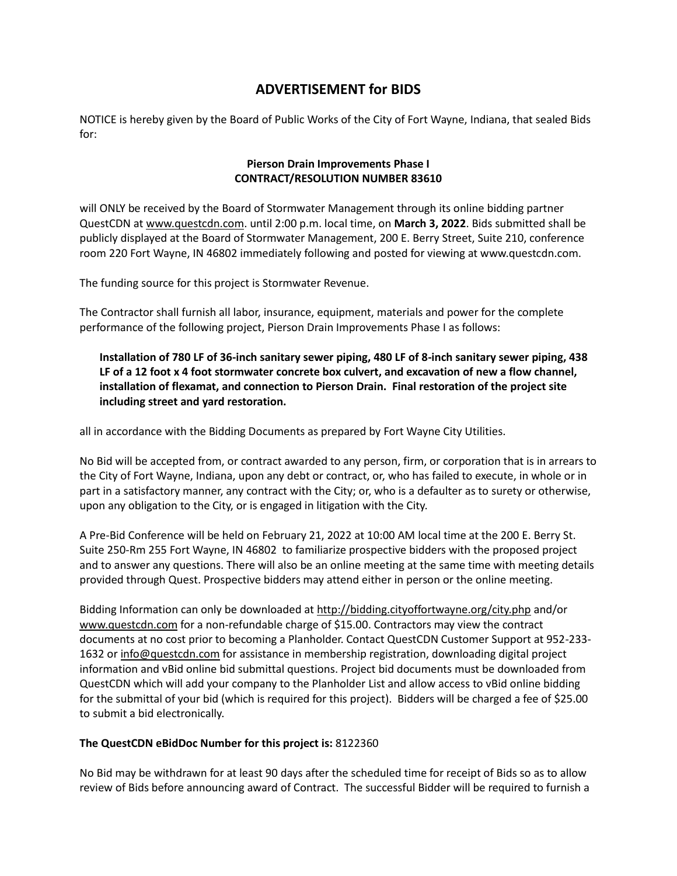## **ADVERTISEMENT for BIDS**

NOTICE is hereby given by the Board of Public Works of the City of Fort Wayne, Indiana, that sealed Bids for:

## **Pierson Drain Improvements Phase I CONTRACT/RESOLUTION NUMBER 83610**

will ONLY be received by the Board of Stormwater Management through its online bidding partner QuestCDN at [www.questcdn.com.](file:///C:/Users/ARWIFB/Downloads/www.questcdn.com) until 2:00 p.m. local time, on **March 3, 2022**. Bids submitted shall be publicly displayed at the Board of Stormwater Management, 200 E. Berry Street, Suite 210, conference room 220 Fort Wayne, IN 46802 immediately following and posted for viewing at www.questcdn.com.

The funding source for this project is Stormwater Revenue.

The Contractor shall furnish all labor, insurance, equipment, materials and power for the complete performance of the following project, Pierson Drain Improvements Phase I as follows:

**Installation of 780 LF of 36-inch sanitary sewer piping, 480 LF of 8-inch sanitary sewer piping, 438 LF of a 12 foot x 4 foot stormwater concrete box culvert, and excavation of new a flow channel, installation of flexamat, and connection to Pierson Drain. Final restoration of the project site including street and yard restoration.** 

all in accordance with the Bidding Documents as prepared by Fort Wayne City Utilities.

No Bid will be accepted from, or contract awarded to any person, firm, or corporation that is in arrears to the City of Fort Wayne, Indiana, upon any debt or contract, or, who has failed to execute, in whole or in part in a satisfactory manner, any contract with the City; or, who is a defaulter as to surety or otherwise, upon any obligation to the City, or is engaged in litigation with the City.

A Pre-Bid Conference will be held on February 21, 2022 at 10:00 AM local time at the 200 E. Berry St. Suite 250-Rm 255 Fort Wayne, IN 46802 to familiarize prospective bidders with the proposed project and to answer any questions. There will also be an online meeting at the same time with meeting details provided through Quest. Prospective bidders may attend either in person or the online meeting.

Bidding Information can only be downloaded a[t http://bidding.cityoffortwayne.org/city.php](http://bidding.cityoffortwayne.org/city.php) and/or [www.questcdn.com](file:///C:/Users/ARWIFB/Downloads/ww.questcdn.com) for a non-refundable charge of \$15.00. Contractors may view the contract documents at no cost prior to becoming a Planholder. Contact QuestCDN Customer Support at 952-233- 1632 or [info@questcdn.com](mailto:info@questcdn.com) for assistance in membership registration, downloading digital project information and vBid online bid submittal questions. Project bid documents must be downloaded from QuestCDN which will add your company to the Planholder List and allow access to vBid online bidding for the submittal of your bid (which is required for this project). Bidders will be charged a fee of \$25.00 to submit a bid electronically.

## **The QuestCDN eBidDoc Number for this project is:** 8122360

No Bid may be withdrawn for at least 90 days after the scheduled time for receipt of Bids so as to allow review of Bids before announcing award of Contract. The successful Bidder will be required to furnish a